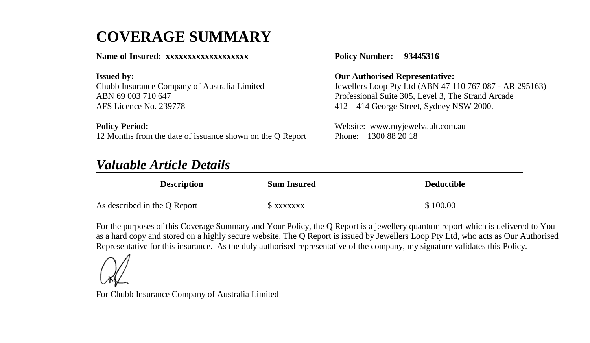# **COVERAGE SUMMARY**

#### **Name of Insured: xxxxxxxxxxxxxxxxxxx**

**Issued by:** Chubb Insurance Company of Australia Limited ABN 69 003 710 647 AFS Licence No. 239778

**Policy Period:** 12 Months from the date of issuance shown on the Q Report

## *Valuable Article Details*

**Policy Number: 93445316**

**Our Authorised Representative:**

Jewellers Loop Pty Ltd (ABN 47 110 767 087 - AR 295163) Professional Suite 305, Level 3, The Strand Arcade 412 – 414 George Street, Sydney NSW 2000.

Website: www.myjewelvault.com.au Phone: 1300 88 20 18

| <b>Description</b>           | <b>Sum Insured</b> | <b>Deductible</b> |
|------------------------------|--------------------|-------------------|
| As described in the Q Report | S xxxxxxx          | \$100.00          |

For the purposes of this Coverage Summary and Your Policy, the Q Report is a jewellery quantum report which is delivered to You as a hard copy and stored on a highly secure website. The Q Report is issued by Jewellers Loop Pty Ltd, who acts as Our Authorised Representative for this insurance. As the duly authorised representative of the company, my signature validates this Policy.

For Chubb Insurance Company of Australia Limited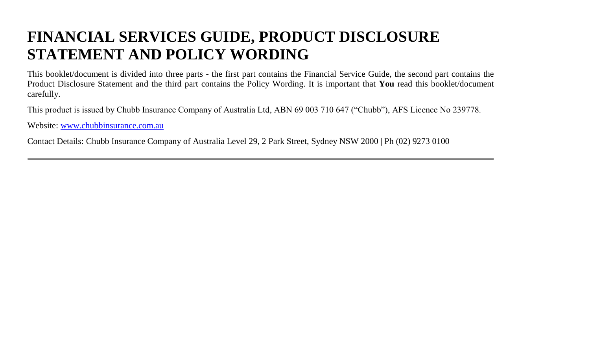# **FINANCIAL SERVICES GUIDE, PRODUCT DISCLOSURE STATEMENT AND POLICY WORDING**

This booklet/document is divided into three parts - the first part contains the Financial Service Guide, the second part contains the Product Disclosure Statement and the third part contains the Policy Wording. It is important that **You** read this booklet/document carefully.

This product is issued by Chubb Insurance Company of Australia Ltd, ABN 69 003 710 647 ("Chubb"), AFS Licence No 239778.

Website[: www.chubbinsurance.com.au](http://www.chubbinsurance.com.au/)

Contact Details: Chubb Insurance Company of Australia Level 29, 2 Park Street, Sydney NSW 2000 | Ph (02) 9273 0100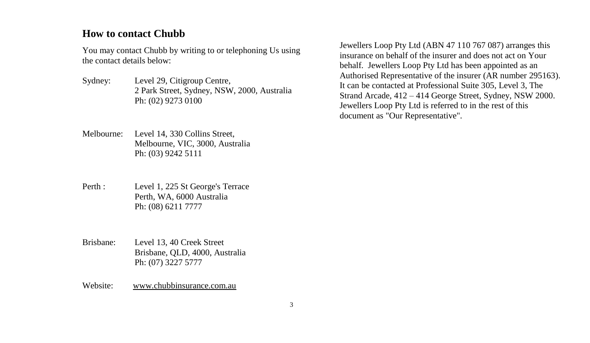#### **How to contact Chubb**

You may contact Chubb by writing to or telephoning Us using the contact details below:

- Sydney: Level 29, Citigroup Centre, 2 Park Street, Sydney, NSW, 2000, Australia Ph: (02) 9273 0100
- Melbourne: Level 14, 330 Collins Street, Melbourne, VIC, 3000, Australia Ph: (03) 9242 5111
- Perth : Level 1, 225 St George's Terrace Perth, WA, 6000 Australia Ph: (08) 6211 7777
- Brisbane: Level 13, 40 Creek Street Brisbane, QLD, 4000, Australia Ph: (07) 3227 5777

Website: www.chubbinsurance.com.au

Jewellers Loop Pty Ltd (ABN 47 110 767 087) arranges this insurance on behalf of the insurer and does not act on Your behalf. Jewellers Loop Pty Ltd has been appointed as an Authorised Representative of the insurer (AR number 295163). It can be contacted at Professional Suite 305, Level 3, The Strand Arcade, 412 – 414 George Street, Sydney, NSW 2000. Jewellers Loop Pty Ltd is referred to in the rest of this document as "Our Representative".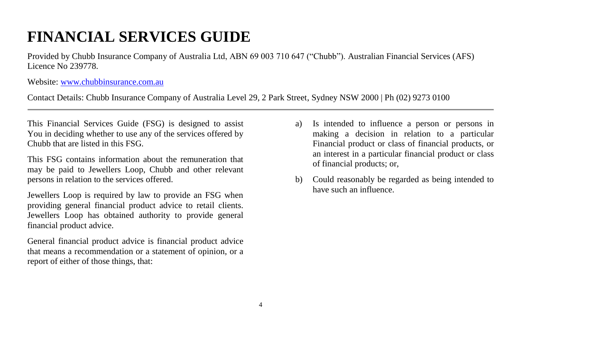# **FINANCIAL SERVICES GUIDE**

Provided by Chubb Insurance Company of Australia Ltd, ABN 69 003 710 647 ("Chubb"). Australian Financial Services (AFS) Licence No 239778.

Website[: www.chubbinsurance.com.au](http://www.chubbinsurance.com.au/)

Contact Details: Chubb Insurance Company of Australia Level 29, 2 Park Street, Sydney NSW 2000 | Ph (02) 9273 0100

This Financial Services Guide (FSG) is designed to assist You in deciding whether to use any of the services offered by Chubb that are listed in this FSG.

This FSG contains information about the remuneration that may be paid to Jewellers Loop, Chubb and other relevant persons in relation to the services offered.

Jewellers Loop is required by law to provide an FSG when providing general financial product advice to retail clients. Jewellers Loop has obtained authority to provide general financial product advice.

General financial product advice is financial product advice that means a recommendation or a statement of opinion, or a report of either of those things, that:

- a) Is intended to influence a person or persons in making a decision in relation to a particular Financial product or class of financial products, or an interest in a particular financial product or class of financial products; or,
- b) Could reasonably be regarded as being intended to have such an influence.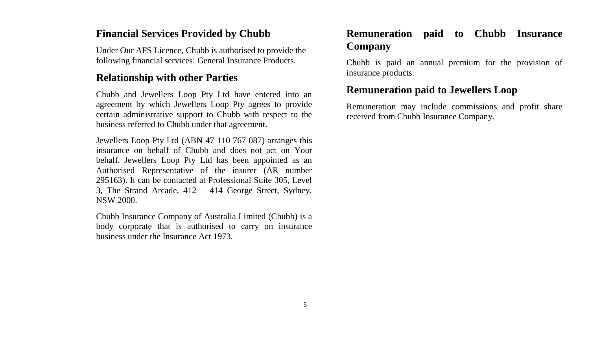#### **Financial Services Provided by Chubb**

Under Our AFS Licence, Chubb is authorised to provide the following financial services: General Insurance Products.

#### **Relationship with other Parties**

Chubb and Jewellers Loop Pty Ltd have entered into an agreement by which Jewellers Loop Pty agrees to provide certain administrative support to Chubb with respect to the business referred to Chubb under that agreement.

Jewellers Loop Pty Ltd (ABN 47 110 767 087) arranges this insurance on behalf of Chubb and does not act on Your behalf. Jewellers Loop Pty Ltd has been appointed as an Authorised Representative of the insurer (AR number 295163). It can be contacted at Professional Suite 305, Level 3, The Strand Arcade, 412 – 414 George Street, Sydney, NSW 2000.

Chubb Insurance Company of Australia Limited (Chubb) is a body corporate that is authorised to carry on insurance business under the Insurance Act 1973.

## **Remuneration paid to Chubb Insurance Company**

Chubb is paid an annual premium for the provision of insurance products.

## **Remuneration paid to Jewellers Loop**

Remuneration may include commissions and profit share received from Chubb Insurance Company.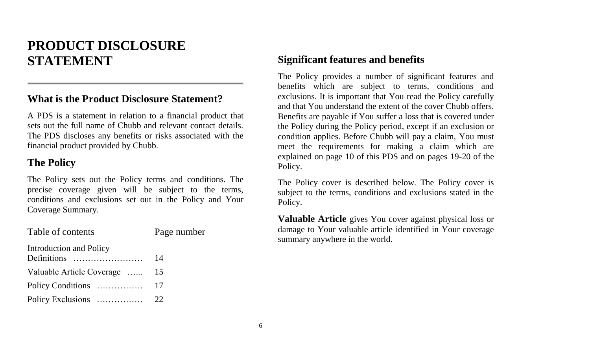# **PRODUCT DISCLOSURE STATEMENT**

## **What is the Product Disclosure Statement?**

A PDS is a statement in relation to a financial product that sets out the full name of Chubb and relevant contact details. The PDS discloses any benefits or risks associated with the financial product provided by Chubb.

## **The Policy**

The Policy sets out the Policy terms and conditions. The precise coverage given will be subject to the terms, conditions and exclusions set out in the Policy and Your Coverage Summary.

| Table of contents         | Page number |
|---------------------------|-------------|
| Introduction and Policy   | 14          |
| Valuable Article Coverage | 15          |
| Policy Conditions         | 17          |
| Policy Exclusions         | 22          |

### **Significant features and benefits**

The Policy provides a number of significant features and benefits which are subject to terms, conditions and exclusions. It is important that You read the Policy carefully and that You understand the extent of the cover Chubb offers. Benefits are payable if You suffer a loss that is covered under the Policy during the Policy period, except if an exclusion or condition applies. Before Chubb will pay a claim, You must meet the requirements for making a claim which are explained on page 10 of this PDS and on pages 19-20 of the Policy.

The Policy cover is described below. The Policy cover is subject to the terms, conditions and exclusions stated in the Policy.

**Valuable Article** gives You cover against physical loss or damage to Your valuable article identified in Your coverage summary anywhere in the world.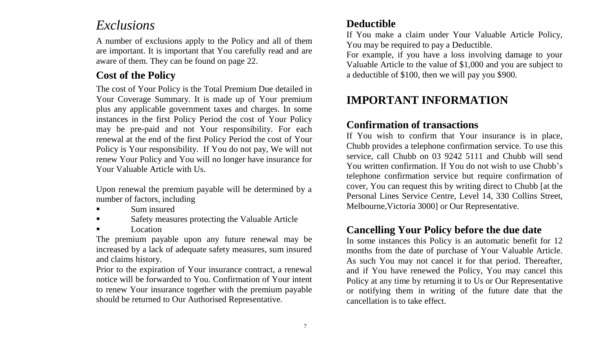## *Exclusions*

A number of exclusions apply to the Policy and all of them are important. It is important that You carefully read and are aware of them. They can be found on page 22.

## **Cost of the Policy**

The cost of Your Policy is the Total Premium Due detailed in Your Coverage Summary. It is made up of Your premium plus any applicable government taxes and charges. In some instances in the first Policy Period the cost of Your Policy may be pre-paid and not Your responsibility. For each renewal at the end of the first Policy Period the cost of Your Policy is Your responsibility. If You do not pay, We will not renew Your Policy and You will no longer have insurance for Your Valuable Article with Us.

Upon renewal the premium payable will be determined by a number of factors, including

- Sum insured
- Safety measures protecting the Valuable Article
- Location

The premium payable upon any future renewal may be increased by a lack of adequate safety measures, sum insured and claims history.

Prior to the expiration of Your insurance contract, a renewal notice will be forwarded to You. Confirmation of Your intent to renew Your insurance together with the premium payable should be returned to Our Authorised Representative.

## **Deductible**

If You make a claim under Your Valuable Article Policy, You may be required to pay a Deductible.

For example, if you have a loss involving damage to your Valuable Article to the value of \$1,000 and you are subject to a deductible of \$100, then we will pay you \$900.

## **IMPORTANT INFORMATION**

## **Confirmation of transactions**

If You wish to confirm that Your insurance is in place, Chubb provides a telephone confirmation service. To use this service, call Chubb on 03 9242 5111 and Chubb will send You written confirmation. If You do not wish to use Chubb's telephone confirmation service but require confirmation of cover, You can request this by writing direct to Chubb [at the Personal Lines Service Centre, Level 14, 330 Collins Street, Melbourne,Victoria 3000] or Our Representative.

## **Cancelling Your Policy before the due date**

In some instances this Policy is an automatic benefit for 12 months from the date of purchase of Your Valuable Article. As such You may not cancel it for that period. Thereafter, and if You have renewed the Policy, You may cancel this Policy at any time by returning it to Us or Our Representative or notifying them in writing of the future date that the cancellation is to take effect.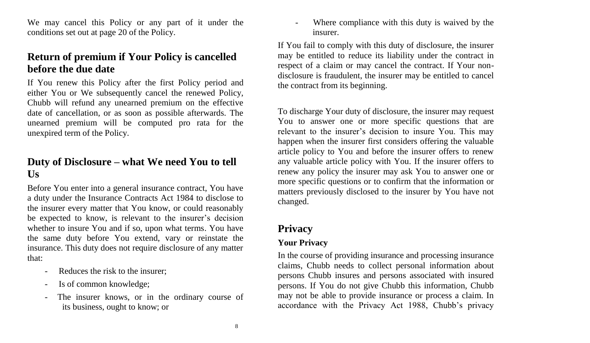We may cancel this Policy or any part of it under the conditions set out at page 20 of the Policy.

## **Return of premium if Your Policy is cancelled before the due date**

If You renew this Policy after the first Policy period and either You or We subsequently cancel the renewed Policy, Chubb will refund any unearned premium on the effective date of cancellation, or as soon as possible afterwards. The unearned premium will be computed pro rata for the unexpired term of the Policy.

## **Duty of Disclosure – what We need You to tell Us**

Before You enter into a general insurance contract, You have a duty under the Insurance Contracts Act 1984 to disclose to the insurer every matter that You know, or could reasonably be expected to know, is relevant to the insurer's decision whether to insure You and if so, upon what terms. You have the same duty before You extend, vary or reinstate the insurance. This duty does not require disclosure of any matter that:

- Reduces the risk to the insurer:
- Is of common knowledge;
- The insurer knows, or in the ordinary course of its business, ought to know; or

- Where compliance with this duty is waived by the insurer.

If You fail to comply with this duty of disclosure, the insurer may be entitled to reduce its liability under the contract in respect of a claim or may cancel the contract. If Your nondisclosure is fraudulent, the insurer may be entitled to cancel the contract from its beginning.

To discharge Your duty of disclosure, the insurer may request You to answer one or more specific questions that are relevant to the insurer's decision to insure You. This may happen when the insurer first considers offering the valuable article policy to You and before the insurer offers to renew any valuable article policy with You. If the insurer offers to renew any policy the insurer may ask You to answer one or more specific questions or to confirm that the information or matters previously disclosed to the insurer by You have not changed.

## **Privacy**

#### **Your Privacy**

In the course of providing insurance and processing insurance claims, Chubb needs to collect personal information about persons Chubb insures and persons associated with insured persons. If You do not give Chubb this information, Chubb may not be able to provide insurance or process a claim. In accordance with the Privacy Act 1988, Chubb's privacy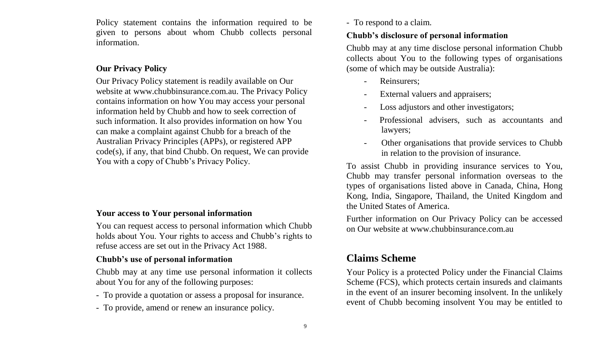Policy statement contains the information required to be given to persons about whom Chubb collects personal information.

#### **Our Privacy Policy**

Our Privacy Policy statement is readily available on Our website at www.chubbinsurance.com.au. The Privacy Policy contains information on how You may access your personal information held by Chubb and how to seek correction of such information. It also provides information on how You can make a complaint against Chubb for a breach of the Australian Privacy Principles (APPs), or registered APP code(s), if any, that bind Chubb. On request, We can provide You with a copy of Chubb's Privacy Policy.

#### **Your access to Your personal information**

You can request access to personal information which Chubb holds about You. Your rights to access and Chubb's rights to refuse access are set out in the Privacy Act 1988.

#### **Chubb's use of personal information**

Chubb may at any time use personal information it collects about You for any of the following purposes:

- To provide a quotation or assess a proposal for insurance.
- To provide, amend or renew an insurance policy.

- To respond to a claim.

#### **Chubb's disclosure of personal information**

Chubb may at any time disclose personal information Chubb collects about You to the following types of organisations (some of which may be outside Australia):

- Reinsurers;
- External valuers and appraisers;
- Loss adjustors and other investigators;
- Professional advisers, such as accountants and lawyers;
- Other organisations that provide services to Chubb in relation to the provision of insurance.

To assist Chubb in providing insurance services to You, Chubb may transfer personal information overseas to the types of organisations listed above in Canada, China, Hong Kong, India, Singapore, Thailand, the United Kingdom and the United States of America.

Further information on Our Privacy Policy can be accessed on Our website at [www.chubbinsurance.com.au](../../../../../../../../Documents%20and%20Settings)

## **Claims Scheme**

Your Policy is a protected Policy under the Financial Claims Scheme (FCS), which protects certain insureds and claimants in the event of an insurer becoming insolvent. In the unlikely event of Chubb becoming insolvent You may be entitled to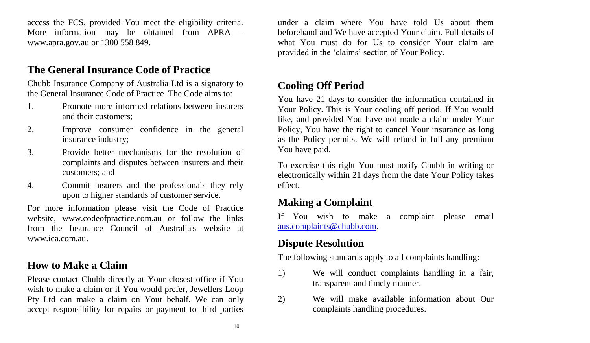access the FCS, provided You meet the eligibility criteria. More information may be obtained from APRA – [www.apra.gov.au](../../../../../../../../Documents%20and%20Settings) or 1300 558 849.

## **The General Insurance Code of Practice**

Chubb Insurance Company of Australia Ltd is a signatory to the General Insurance Code of Practice. The Code aims to:

- 1. Promote more informed relations between insurers and their customers;
- 2. Improve consumer confidence in the general insurance industry;
- 3. Provide better mechanisms for the resolution of complaints and disputes between insurers and their customers; and
- 4. Commit insurers and the professionals they rely upon to higher standards of customer service.

For more information please visit the Code of Practice website, [www.codeofpractice.com.au](../../../../../../../../Documents%20and%20Settings) or follow the links from the Insurance Council of Australia's website at [www.ica.com.au.](http://www.ica.com.au/)

## **How to Make a Claim**

Please contact Chubb directly at Your closest office if You wish to make a claim or if You would prefer, Jewellers Loop Pty Ltd can make a claim on Your behalf. We can only accept responsibility for repairs or payment to third parties under a claim where You have told Us about them beforehand and We have accepted Your claim. Full details of what You must do for Us to consider Your claim are provided in the 'claims' section of Your Policy.

## **Cooling Off Period**

You have 21 days to consider the information contained in Your Policy. This is Your cooling off period. If You would like, and provided You have not made a claim under Your Policy, You have the right to cancel Your insurance as long as the Policy permits. We will refund in full any premium You have paid.

To exercise this right You must notify Chubb in writing or electronically within 21 days from the date Your Policy takes effect.

## **Making a Complaint**

If You wish to make a complaint please email [aus.complaints@chubb.com.](mailto:aus.complaints@chubb.com)

## **Dispute Resolution**

The following standards apply to all complaints handling:

- 1) We will conduct complaints handling in a fair, transparent and timely manner.
- 2) We will make available information about Our complaints handling procedures.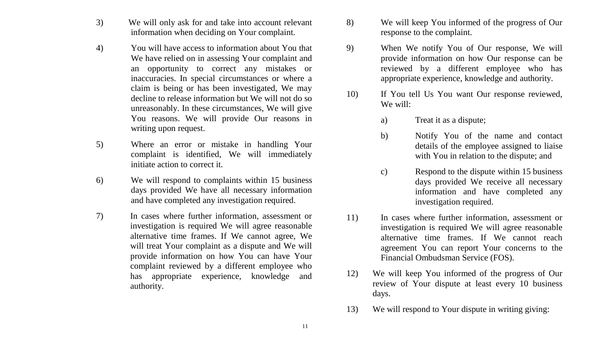- 3) We will only ask for and take into account relevant information when deciding on Your complaint.
- 4) You will have access to information about You that We have relied on in assessing Your complaint and an opportunity to correct any mistakes or inaccuracies. In special circumstances or where a claim is being or has been investigated, We may decline to release information but We will not do so unreasonably. In these circumstances, We will give You reasons. We will provide Our reasons in writing upon request.
- 5) Where an error or mistake in handling Your complaint is identified, We will immediately initiate action to correct it.
- 6) We will respond to complaints within 15 business days provided We have all necessary information and have completed any investigation required.
- 7) In cases where further information, assessment or investigation is required We will agree reasonable alternative time frames. If We cannot agree, We will treat Your complaint as a dispute and We will provide information on how You can have Your complaint reviewed by a different employee who has appropriate experience, knowledge and authority.
- 8) We will keep You informed of the progress of Our response to the complaint.
- 9) When We notify You of Our response, We will provide information on how Our response can be reviewed by a different employee who has appropriate experience, knowledge and authority.
- 10) If You tell Us You want Our response reviewed, We will:
	- a) Treat it as a dispute;
	- b) Notify You of the name and contact details of the employee assigned to liaise with You in relation to the dispute; and
	- c) Respond to the dispute within 15 business days provided We receive all necessary information and have completed any investigation required.
- 11) In cases where further information, assessment or investigation is required We will agree reasonable alternative time frames. If We cannot reach agreement You can report Your concerns to the Financial Ombudsman Service (FOS).
- 12) We will keep You informed of the progress of Our review of Your dispute at least every 10 business days.
- 13) We will respond to Your dispute in writing giving: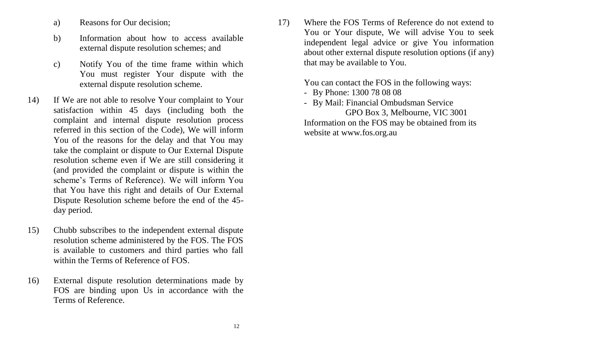- a) Reasons for Our decision;
- b) Information about how to access available external dispute resolution schemes; and
- c) Notify You of the time frame within which You must register Your dispute with the external dispute resolution scheme.
- 14) If We are not able to resolve Your complaint to Your satisfaction within 45 days (including both the complaint and internal dispute resolution process referred in this section of the Code), We will inform You of the reasons for the delay and that You may take the complaint or dispute to Our External Dispute resolution scheme even if We are still considering it (and provided the complaint or dispute is within the scheme's Terms of Reference). We will inform You that You have this right and details of Our External Dispute Resolution scheme before the end of the 45 day period.
- 15) Chubb subscribes to the independent external dispute resolution scheme administered by the FOS. The FOS is available to customers and third parties who fall within the Terms of Reference of FOS.
- 16) External dispute resolution determinations made by FOS are binding upon Us in accordance with the Terms of Reference.

17) Where the FOS Terms of Reference do not extend to You or Your dispute, We will advise You to seek independent legal advice or give You information about other external dispute resolution options (if any) that may be available to You.

You can contact the FOS in the following ways:

- By Phone: 1300 78 08 08
- By Mail: Financial Ombudsman Service

 GPO Box 3, Melbourne, VIC 3001 Information on the FOS may be obtained from its website a[t www.fos.org.au](http://www.fos.org.au/)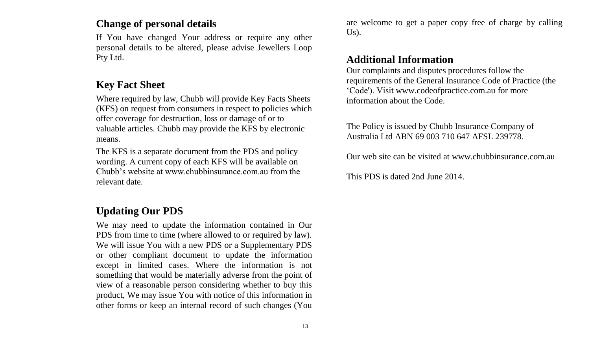## **Change of personal details**

If You have changed Your address or require any other personal details to be altered, please advise Jewellers Loop Pty Ltd.

## **Key Fact Sheet**

Where required by law, Chubb will provide Key Facts Sheets (KFS) on request from consumers in respect to policies which offer coverage for destruction, loss or damage of or to valuable articles. Chubb may provide the KFS by electronic means.

The KFS is a separate document from the PDS and policy wording. A current copy of each KFS will be available on Chubb's website at www.chubbinsurance.com.au from the relevant date.

## **Updating Our PDS**

 We may need to update the information contained in Our PDS from time to time (where allowed to or required by law). We will issue You with a new PDS or a Supplementary PDS or other compliant document to update the information except in limited cases. Where the information is not something that would be materially adverse from the point of view of a reasonable person considering whether to buy this product, We may issue You with notice of this information in other forms or keep an internal record of such changes (You are welcome to get a paper copy free of charge by calling  $Us$ ).

## **Additional Information**

Our complaints and disputes procedures follow the requirements of the General Insurance Code of Practice (the 'Code'). Visit [www.codeofpractice.com.au](http://www.codeofpractice.com.au/) for more information about the Code.

The Policy is issued by Chubb Insurance Company of Australia Ltd ABN 69 003 710 647 AFSL 239778.

Our web site can be visited a[t www.chubbinsurance.com.au](../../../../../../../../%20and%20Settings)

This PDS is dated 2nd June 2014.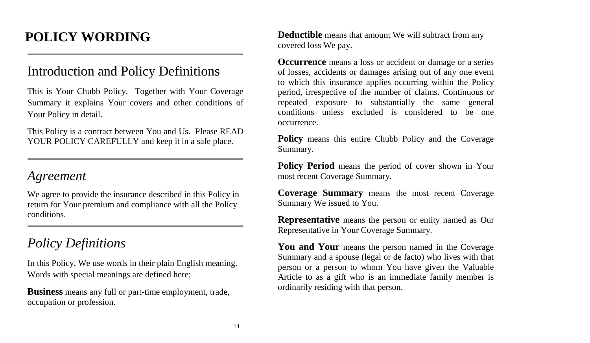# **POLICY WORDING**

# Introduction and Policy Definitions

This is Your Chubb Policy. Together with Your Coverage Summary it explains Your covers and other conditions of Your Policy in detail.

This Policy is a contract between You and Us. Please READ YOUR POLICY CAREFULLY and keep it in a safe place.

## *Agreement*

We agree to provide the insurance described in this Policy in return for Your premium and compliance with all the Policy conditions.

## *Policy Definitions*

In this Policy, We use words in their plain English meaning. Words with special meanings are defined here:

**Business** means any full or part-time employment, trade, occupation or profession.

**Deductible** means that amount We will subtract from any covered loss We pay.

**Occurrence** means a loss or accident or damage or a series of losses, accidents or damages arising out of any one event to which this insurance applies occurring within the Policy period, irrespective of the number of claims. Continuous or repeated exposure to substantially the same general conditions unless excluded is considered to be one occurrence.

**Policy** means this entire Chubb Policy and the Coverage Summary.

**Policy Period** means the period of cover shown in Your most recent Coverage Summary.

**Coverage Summary** means the most recent Coverage Summary We issued to You.

**Representative** means the person or entity named as Our Representative in Your Coverage Summary.

**You and Your** means the person named in the Coverage Summary and a spouse (legal or de facto) who lives with that person or a person to whom You have given the Valuable Article to as a gift who is an immediate family member is ordinarily residing with that person.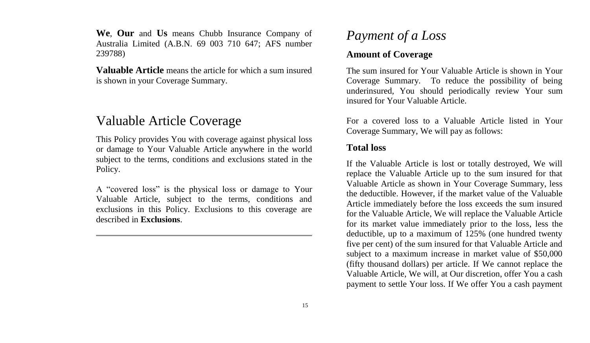**We**, **Our** and **Us** means Chubb Insurance Company of Australia Limited (A.B.N. 69 003 710 647; AFS number 239788)

**Valuable Article** means the article for which a sum insured is shown in your Coverage Summary.

## Valuable Article Coverage

This Policy provides You with coverage against physical loss or damage to Your Valuable Article anywhere in the world subject to the terms, conditions and exclusions stated in the Policy.

A "covered loss" is the physical loss or damage to Your Valuable Article, subject to the terms, conditions and exclusions in this Policy. Exclusions to this coverage are described in **Exclusions**.

## *Payment of a Loss*

#### **Amount of Coverage**

The sum insured for Your Valuable Article is shown in Your Coverage Summary. To reduce the possibility of being underinsured, You should periodically review Your sum insured for Your Valuable Article.

For a covered loss to a Valuable Article listed in Your Coverage Summary, We will pay as follows:

#### **Total loss**

If the Valuable Article is lost or totally destroyed, We will replace the Valuable Article up to the sum insured for that Valuable Article as shown in Your Coverage Summary, less the deductible. However, if the market value of the Valuable Article immediately before the loss exceeds the sum insured for the Valuable Article, We will replace the Valuable Article for its market value immediately prior to the loss, less the deductible, up to a maximum of 125% (one hundred twenty five per cent) of the sum insured for that Valuable Article and subject to a maximum increase in market value of \$50,000 (fifty thousand dollars) per article. If We cannot replace the Valuable Article, We will, at Our discretion, offer You a cash payment to settle Your loss. If We offer You a cash payment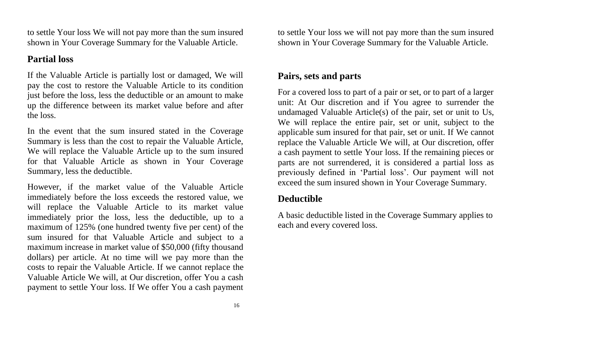to settle Your loss We will not pay more than the sum insured shown in Your Coverage Summary for the Valuable Article.

### **Partial loss**

If the Valuable Article is partially lost or damaged, We will pay the cost to restore the Valuable Article to its condition just before the loss, less the deductible or an amount to make up the difference between its market value before and after the loss.

In the event that the sum insured stated in the Coverage Summary is less than the cost to repair the Valuable Article, We will replace the Valuable Article up to the sum insured for that Valuable Article as shown in Your Coverage Summary, less the deductible.

However, if the market value of the Valuable Article immediately before the loss exceeds the restored value, we will replace the Valuable Article to its market value immediately prior the loss, less the deductible, up to a maximum of 125% (one hundred twenty five per cent) of the sum insured for that Valuable Article and subject to a maximum increase in market value of \$50,000 (fifty thousand dollars) per article. At no time will we pay more than the costs to repair the Valuable Article. If we cannot replace the Valuable Article We will, at Our discretion, offer You a cash payment to settle Your loss. If We offer You a cash payment

to settle Your loss we will not pay more than the sum insured shown in Your Coverage Summary for the Valuable Article.

#### **Pairs, sets and parts**

For a covered loss to part of a pair or set, or to part of a larger unit: At Our discretion and if You agree to surrender the undamaged Valuable Article(s) of the pair, set or unit to Us, We will replace the entire pair, set or unit, subject to the applicable sum insured for that pair, set or unit. If We cannot replace the Valuable Article We will, at Our discretion, offer a cash payment to settle Your loss. If the remaining pieces or parts are not surrendered, it is considered a partial loss as previously defined in 'Partial loss'. Our payment will not exceed the sum insured shown in Your Coverage Summary.

## **Deductible**

A basic deductible listed in the Coverage Summary applies to each and every covered loss.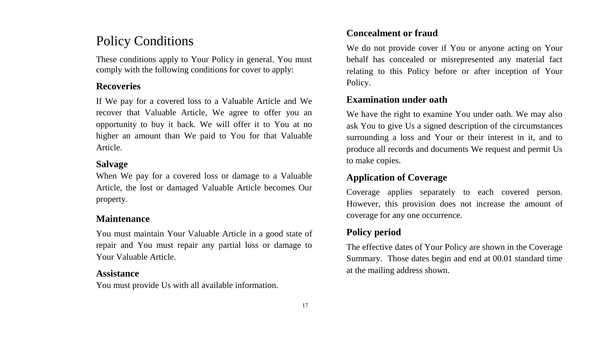## Policy Conditions

These conditions apply to Your Policy in general. You must comply with the following conditions for cover to apply:

#### **Recoveries**

If We pay for a covered loss to a Valuable Article and We recover that Valuable Article, We agree to offer you an opportunity to buy it back. We will offer it to You at no higher an amount than We paid to You for that Valuable Article.

#### **Salvage**

When We pay for a covered loss or damage to a Valuable Article, the lost or damaged Valuable Article becomes Our property.

#### **Maintenance**

You must maintain Your Valuable Article in a good state of repair and You must repair any partial loss or damage to Your Valuable Article.

#### **Assistance**

You must provide Us with all available information.

#### **Concealment or fraud**

We do not provide cover if You or anyone acting on Your behalf has concealed or misrepresented any material fact relating to this Policy before or after inception of Your Policy.

#### **Examination under oath**

We have the right to examine You under oath. We may also ask You to give Us a signed description of the circumstances surrounding a loss and Your or their interest in it, and to produce all records and documents We request and permit Us to make copies.

#### **Application of Coverage**

Coverage applies separately to each covered person. However, this provision does not increase the amount of coverage for any one occurrence.

## **Policy period**

The effective dates of Your Policy are shown in the Coverage Summary. Those dates begin and end at 00.01 standard time at the mailing address shown.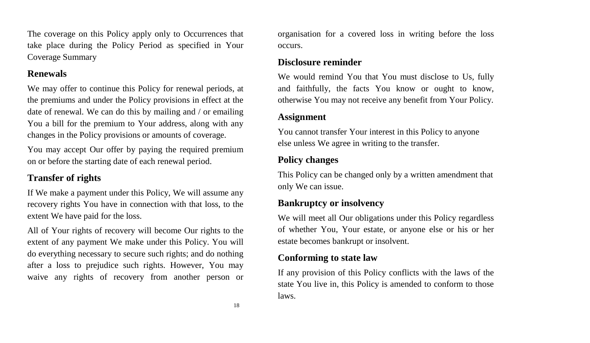The coverage on this Policy apply only to Occurrences that take place during the Policy Period as specified in Your Coverage Summary

#### **Renewals**

We may offer to continue this Policy for renewal periods, at the premiums and under the Policy provisions in effect at the date of renewal. We can do this by mailing and / or emailing You a bill for the premium to Your address, along with any changes in the Policy provisions or amounts of coverage.

You may accept Our offer by paying the required premium on or before the starting date of each renewal period.

#### **Transfer of rights**

If We make a payment under this Policy, We will assume any recovery rights You have in connection with that loss, to the extent We have paid for the loss.

All of Your rights of recovery will become Our rights to the extent of any payment We make under this Policy. You will do everything necessary to secure such rights; and do nothing after a loss to prejudice such rights. However, You may waive any rights of recovery from another person or organisation for a covered loss in writing before the loss occurs.

### **Disclosure reminder**

We would remind You that You must disclose to Us, fully and faithfully, the facts You know or ought to know, otherwise You may not receive any benefit from Your Policy.

#### **Assignment**

You cannot transfer Your interest in this Policy to anyone else unless We agree in writing to the transfer.

#### **Policy changes**

This Policy can be changed only by a written amendment that only We can issue.

#### **Bankruptcy or insolvency**

We will meet all Our obligations under this Policy regardless of whether You, Your estate, or anyone else or his or her estate becomes bankrupt or insolvent.

#### **Conforming to state law**

If any provision of this Policy conflicts with the laws of the state You live in, this Policy is amended to conform to those laws.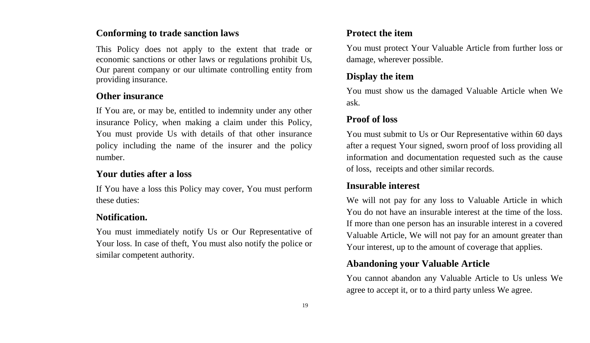#### **Conforming to trade sanction laws**

This Policy does not apply to the extent that trade or economic sanctions or other laws or regulations prohibit Us, Our parent company or our ultimate controlling entity from providing insurance.

#### **Other insurance**

If You are, or may be, entitled to indemnity under any other insurance Policy, when making a claim under this Policy, You must provide Us with details of that other insurance policy including the name of the insurer and the policy number.

#### **Your duties after a loss**

If You have a loss this Policy may cover, You must perform these duties:

#### **Notification.**

You must immediately notify Us or Our Representative of Your loss. In case of theft, You must also notify the police or similar competent authority.

#### **Protect the item**

You must protect Your Valuable Article from further loss or damage, wherever possible.

#### **Display the item**

You must show us the damaged Valuable Article when We ask.

#### **Proof of loss**

You must submit to Us or Our Representative within 60 days after a request Your signed, sworn proof of loss providing all information and documentation requested such as the cause of loss, receipts and other similar records.

#### **Insurable interest**

We will not pay for any loss to Valuable Article in which You do not have an insurable interest at the time of the loss. If more than one person has an insurable interest in a covered Valuable Article, We will not pay for an amount greater than Your interest, up to the amount of coverage that applies.

#### **Abandoning your Valuable Article**

You cannot abandon any Valuable Article to Us unless We agree to accept it, or to a third party unless We agree.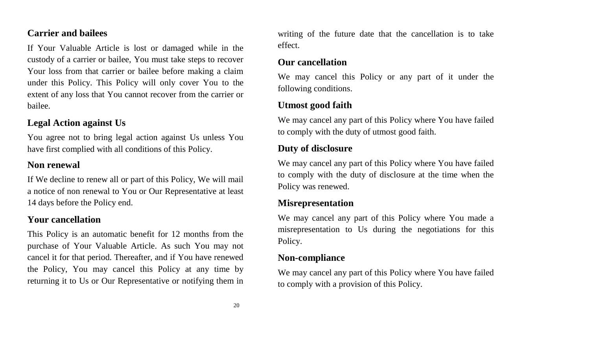#### **Carrier and bailees**

If Your Valuable Article is lost or damaged while in the custody of a carrier or bailee, You must take steps to recover Your loss from that carrier or bailee before making a claim under this Policy. This Policy will only cover You to the extent of any loss that You cannot recover from the carrier or bailee.

#### **Legal Action against Us**

You agree not to bring legal action against Us unless You have first complied with all conditions of this Policy.

#### **Non renewal**

If We decline to renew all or part of this Policy, We will mail a notice of non renewal to You or Our Representative at least 14 days before the Policy end.

#### **Your cancellation**

This Policy is an automatic benefit for 12 months from the purchase of Your Valuable Article. As such You may not cancel it for that period. Thereafter, and if You have renewed the Policy, You may cancel this Policy at any time by returning it to Us or Our Representative or notifying them in

writing of the future date that the cancellation is to take effect.

#### **Our cancellation**

We may cancel this Policy or any part of it under the following conditions.

#### **Utmost good faith**

We may cancel any part of this Policy where You have failed to comply with the duty of utmost good faith.

#### **Duty of disclosure**

We may cancel any part of this Policy where You have failed to comply with the duty of disclosure at the time when the Policy was renewed.

#### **Misrepresentation**

We may cancel any part of this Policy where You made a misrepresentation to Us during the negotiations for this Policy.

#### **Non-compliance**

We may cancel any part of this Policy where You have failed to comply with a provision of this Policy.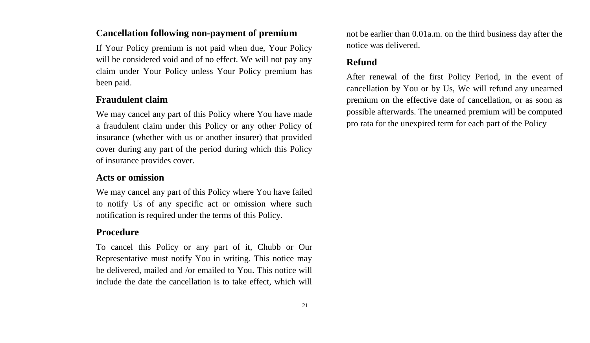#### **Cancellation following non-payment of premium**

If Your Policy premium is not paid when due, Your Policy will be considered void and of no effect. We will not pay any claim under Your Policy unless Your Policy premium has been paid.

#### **Fraudulent claim**

We may cancel any part of this Policy where You have made a fraudulent claim under this Policy or any other Policy of insurance (whether with us or another insurer) that provided cover during any part of the period during which this Policy of insurance provides cover.

#### **Acts or omission**

We may cancel any part of this Policy where You have failed to notify Us of any specific act or omission where such notification is required under the terms of this Policy.

#### **Procedure**

To cancel this Policy or any part of it, Chubb or Our Representative must notify You in writing. This notice may be delivered, mailed and /or emailed to You. This notice will include the date the cancellation is to take effect, which will not be earlier than 0.01a.m. on the third business day after the notice was delivered.

#### **Refund**

After renewal of the first Policy Period, in the event of cancellation by You or by Us, We will refund any unearned premium on the effective date of cancellation, or as soon as possible afterwards. The unearned premium will be computed pro rata for the unexpired term for each part of the Policy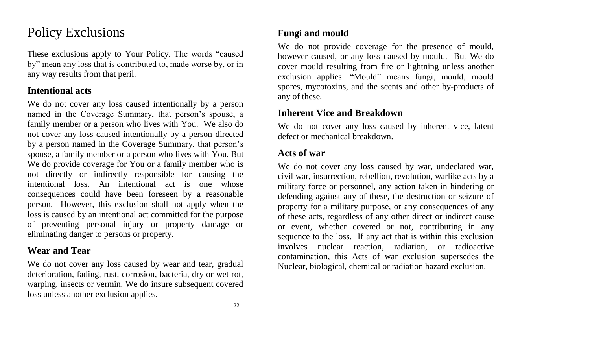## Policy Exclusions

These exclusions apply to Your Policy. The words "caused by" mean any loss that is contributed to, made worse by, or in any way results from that peril.

#### **Intentional acts**

We do not cover any loss caused intentionally by a person named in the Coverage Summary, that person's spouse, a family member or a person who lives with You. We also do not cover any loss caused intentionally by a person directed by a person named in the Coverage Summary, that person's spouse, a family member or a person who lives with You. But We do provide coverage for You or a family member who is not directly or indirectly responsible for causing the intentional loss. An intentional act is one whose consequences could have been foreseen by a reasonable person. However, this exclusion shall not apply when the loss is caused by an intentional act committed for the purpose of preventing personal injury or property damage or eliminating danger to persons or property.

#### **Wear and Tear**

We do not cover any loss caused by wear and tear, gradual deterioration, fading, rust, corrosion, bacteria, dry or wet rot, warping, insects or vermin. We do insure subsequent covered loss unless another exclusion applies.

#### **Fungi and mould**

We do not provide coverage for the presence of mould, however caused, or any loss caused by mould. But We do cover mould resulting from fire or lightning unless another exclusion applies. "Mould" means fungi, mould, mould spores, mycotoxins, and the scents and other by-products of any of these.

#### **Inherent Vice and Breakdown**

We do not cover any loss caused by inherent vice, latent defect or mechanical breakdown.

#### **Acts of war**

We do not cover any loss caused by war, undeclared war, civil war, insurrection, rebellion, revolution, warlike acts by a military force or personnel, any action taken in hindering or defending against any of these, the destruction or seizure of property for a military purpose, or any consequences of any of these acts, regardless of any other direct or indirect cause or event, whether covered or not, contributing in any sequence to the loss. If any act that is within this exclusion involves nuclear reaction, radiation, or radioactive contamination, this Acts of war exclusion supersedes the Nuclear, biological, chemical or radiation hazard exclusion.